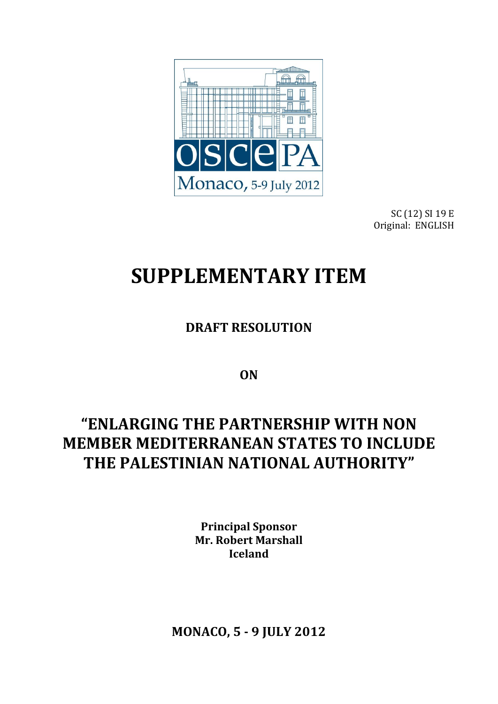

SC (12) SI 19 E Original: ENGLISH

# **SUPPLEMENTARY ITEM**

**DRAFT RESOLUTION**

**ON**

# **"ENLARGING THE PARTNERSHIP WITH NON MEMBER MEDITERRANEAN STATES TO INCLUDE THE PALESTINIAN NATIONAL AUTHORITY"**

**Principal Sponsor Mr. Robert Marshall Iceland**

**MONACO, 5 - 9 JULY 2012**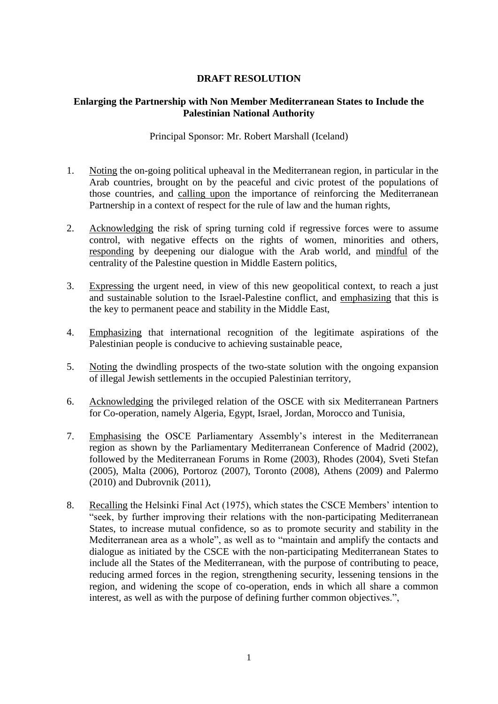### **DRAFT RESOLUTION**

#### **Enlarging the Partnership with Non Member Mediterranean States to Include the Palestinian National Authority**

Principal Sponsor: Mr. Robert Marshall (Iceland)

- 1. Noting the on-going political upheaval in the Mediterranean region, in particular in the Arab countries, brought on by the peaceful and civic protest of the populations of those countries, and calling upon the importance of reinforcing the Mediterranean Partnership in a context of respect for the rule of law and the human rights,
- 2. Acknowledging the risk of spring turning cold if regressive forces were to assume control, with negative effects on the rights of women, minorities and others, responding by deepening our dialogue with the Arab world, and mindful of the centrality of the Palestine question in Middle Eastern politics,
- 3. Expressing the urgent need, in view of this new geopolitical context, to reach a just and sustainable solution to the Israel-Palestine conflict, and emphasizing that this is the key to permanent peace and stability in the Middle East,
- 4. Emphasizing that international recognition of the legitimate aspirations of the Palestinian people is conducive to achieving sustainable peace,
- 5. Noting the dwindling prospects of the two-state solution with the ongoing expansion of illegal Jewish settlements in the occupied Palestinian territory,
- 6. Acknowledging the privileged relation of the OSCE with six Mediterranean Partners for Co-operation, namely Algeria, Egypt, Israel, Jordan, Morocco and Tunisia,
- 7. Emphasising the OSCE Parliamentary Assembly's interest in the Mediterranean region as shown by the Parliamentary Mediterranean Conference of Madrid (2002), followed by the Mediterranean Forums in Rome (2003), Rhodes (2004), Sveti Stefan (2005), Malta (2006), Portoroz (2007), Toronto (2008), Athens (2009) and Palermo (2010) and Dubrovnik (2011),
- 8. Recalling the Helsinki Final Act (1975), which states the CSCE Members' intention to "seek, by further improving their relations with the non-participating Mediterranean States, to increase mutual confidence, so as to promote security and stability in the Mediterranean area as a whole", as well as to "maintain and amplify the contacts and dialogue as initiated by the CSCE with the non-participating Mediterranean States to include all the States of the Mediterranean, with the purpose of contributing to peace, reducing armed forces in the region, strengthening security, lessening tensions in the region, and widening the scope of co-operation, ends in which all share a common interest, as well as with the purpose of defining further common objectives.",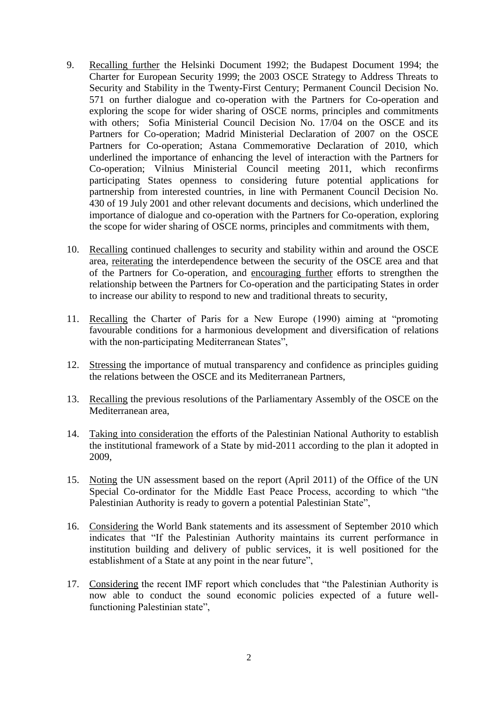- 9. Recalling further the Helsinki Document 1992; the Budapest Document 1994; the Charter for European Security 1999; the 2003 OSCE Strategy to Address Threats to Security and Stability in the Twenty-First Century; Permanent Council Decision No. 571 on further dialogue and co-operation with the Partners for Co-operation and exploring the scope for wider sharing of OSCE norms, principles and commitments with others; Sofia Ministerial Council Decision No. 17/04 on the OSCE and its Partners for Co-operation; Madrid Ministerial Declaration of 2007 on the OSCE Partners for Co-operation; Astana Commemorative Declaration of 2010, which underlined the importance of enhancing the level of interaction with the Partners for Co-operation; Vilnius Ministerial Council meeting 2011, which reconfirms participating States openness to considering future potential applications for partnership from interested countries, in line with Permanent Council Decision No. 430 of 19 July 2001 and other relevant documents and decisions, which underlined the importance of dialogue and co-operation with the Partners for Co-operation, exploring the scope for wider sharing of OSCE norms, principles and commitments with them,
- 10. Recalling continued challenges to security and stability within and around the OSCE area, reiterating the interdependence between the security of the OSCE area and that of the Partners for Co-operation, and encouraging further efforts to strengthen the relationship between the Partners for Co-operation and the participating States in order to increase our ability to respond to new and traditional threats to security,
- 11. Recalling the Charter of Paris for a New Europe (1990) aiming at "promoting favourable conditions for a harmonious development and diversification of relations with the non-participating Mediterranean States",
- 12. Stressing the importance of mutual transparency and confidence as principles guiding the relations between the OSCE and its Mediterranean Partners,
- 13. Recalling the previous resolutions of the Parliamentary Assembly of the OSCE on the Mediterranean area,
- 14. Taking into consideration the efforts of the Palestinian National Authority to establish the institutional framework of a State by mid-2011 according to the plan it adopted in 2009,
- 15. Noting the UN assessment based on the report (April 2011) of the Office of the UN Special Co-ordinator for the Middle East Peace Process, according to which "the Palestinian Authority is ready to govern a potential Palestinian State",
- 16. Considering the World Bank statements and its assessment of September 2010 which indicates that "If the Palestinian Authority maintains its current performance in institution building and delivery of public services, it is well positioned for the establishment of a State at any point in the near future",
- 17. Considering the recent IMF report which concludes that "the Palestinian Authority is now able to conduct the sound economic policies expected of a future wellfunctioning Palestinian state",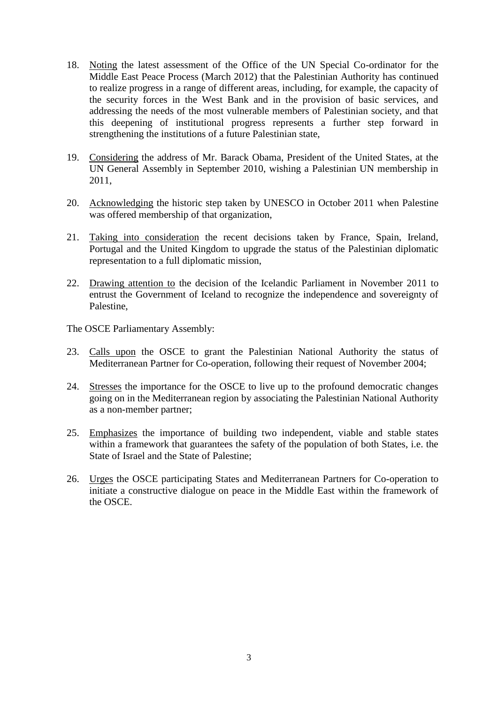- 18. Noting the latest assessment of the Office of the UN Special Co-ordinator for the Middle East Peace Process (March 2012) that the Palestinian Authority has continued to realize progress in a range of different areas, including, for example, the capacity of the security forces in the West Bank and in the provision of basic services, and addressing the needs of the most vulnerable members of Palestinian society, and that this deepening of institutional progress represents a further step forward in strengthening the institutions of a future Palestinian state,
- 19. Considering the address of Mr. Barack Obama, President of the United States, at the UN General Assembly in September 2010, wishing a Palestinian UN membership in 2011,
- 20. Acknowledging the historic step taken by UNESCO in October 2011 when Palestine was offered membership of that organization,
- 21. Taking into consideration the recent decisions taken by France, Spain, Ireland, Portugal and the United Kingdom to upgrade the status of the Palestinian diplomatic representation to a full diplomatic mission,
- 22. Drawing attention to the decision of the Icelandic Parliament in November 2011 to entrust the Government of Iceland to recognize the independence and sovereignty of Palestine,

The OSCE Parliamentary Assembly:

- 23. Calls upon the OSCE to grant the Palestinian National Authority the status of Mediterranean Partner for Co-operation, following their request of November 2004;
- 24. Stresses the importance for the OSCE to live up to the profound democratic changes going on in the Mediterranean region by associating the Palestinian National Authority as a non-member partner;
- 25. Emphasizes the importance of building two independent, viable and stable states within a framework that guarantees the safety of the population of both States, i.e. the State of Israel and the State of Palestine;
- 26. Urges the OSCE participating States and Mediterranean Partners for Co-operation to initiate a constructive dialogue on peace in the Middle East within the framework of the OSCE.